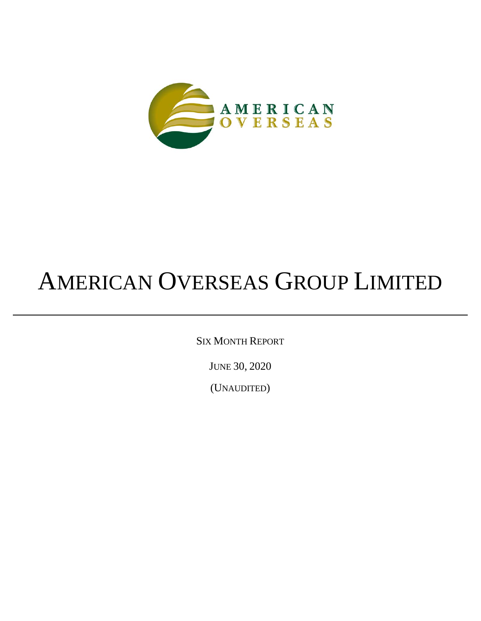

# AMERICAN OVERSEAS GROUP LIMITED

SIX MONTH REPORT

JUNE 30, 2020

(UNAUDITED)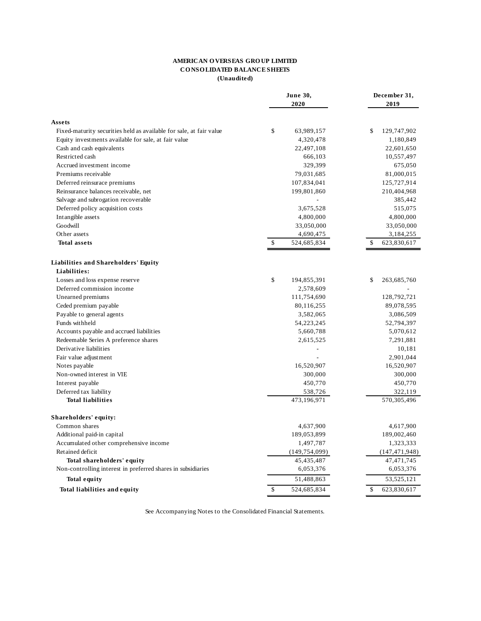#### **AMERICAN O VERSEAS GRO UP LIMITED CO NSO LIDATED BALANCE SHEETS (Unaudited)**

|                                                                     | June 30,<br>2020  | December 31,<br>2019 |  |
|---------------------------------------------------------------------|-------------------|----------------------|--|
| Assets                                                              |                   |                      |  |
| Fixed-maturity securities held as available for sale, at fair value | \$<br>63,989,157  | \$<br>129,747,902    |  |
| Equity investments available for sale, at fair value                | 4,320,478         | 1,180,849            |  |
| Cash and cash equivalents                                           | 22,497,108        | 22,601,650           |  |
| Restricted cash                                                     | 666,103           | 10,557,497           |  |
| Accrued investment income                                           | 329,399           | 675,050              |  |
| Premiums receivable                                                 | 79,031,685        | 81,000,015           |  |
| Deferred reinsurace premiums                                        | 107,834,041       | 125,727,914          |  |
| Reinsurance balances receivable, net                                | 199,801,860       | 210,404,968          |  |
| Salvage and subrogation recoverable                                 |                   | 385,442              |  |
| Deferred policy acquisition costs                                   | 3,675,528         | 515,075              |  |
| Intangible assets                                                   | 4,800,000         | 4,800,000            |  |
| Goodwill                                                            | 33,050,000        | 33,050,000           |  |
| Other assets                                                        | 4,690,475         | 3,184,255            |  |
| <b>Total assets</b>                                                 | \$<br>524,685,834 | 623,830,617<br>\$    |  |
| Liabilities and Shareholders' Equity                                |                   |                      |  |
| Liabilities:                                                        |                   |                      |  |
| Losses and loss expense reserve                                     | \$<br>194,855,391 | \$<br>263,685,760    |  |
| Deferred commission income                                          | 2,578,609         |                      |  |
| Unearned premiums                                                   | 111,754,690       | 128,792,721          |  |
| Ceded premium payable                                               | 80,116,255        | 89,078,595           |  |
| Payable to general agents                                           | 3,582,065         | 3,086,509            |  |
| Funds withheld                                                      | 54,223,245        | 52,794,397           |  |
| Accounts payable and accrued liabilities                            | 5,660,788         | 5,070,612            |  |
| Redeemable Series A preference shares                               | 2,615,525         | 7,291,881            |  |
| Derivative liabilities                                              |                   | 10,181               |  |
| Fair value adjustment                                               |                   | 2,901,044            |  |
| Notes payable                                                       | 16,520,907        | 16,520,907           |  |
| Non-owned interest in VIE                                           | 300,000           | 300,000              |  |
| Interest payable                                                    | 450,770           | 450,770              |  |
| Deferred tax liability                                              | 538,726           | 322,119              |  |
| <b>Total liabilities</b>                                            | 473,196,971       | 570, 305, 496        |  |
| Shareholders' equity:                                               |                   |                      |  |
| Common shares                                                       | 4,637,900         | 4,617,900            |  |
| Additional paid-in capital                                          | 189,053,899       | 189,002,460          |  |
| Accumulated other comprehensive income                              | 1,497,787         | 1,323,333            |  |
| Retained deficit                                                    | (149, 754, 099)   | (147, 471, 948)      |  |
| Total shareholders' equity                                          | 45,435,487        | 47,471,745           |  |
| Non-controlling interest in preferred shares in subsidiaries        | 6,053,376         | 6,053,376            |  |
| <b>Total equity</b>                                                 | 51,488,863        | 53,525,121           |  |
| Total liabilities and equity                                        | \$<br>524,685,834 | \$<br>623,830,617    |  |

See Accompanying Notes to the Consolidated Financial Statements.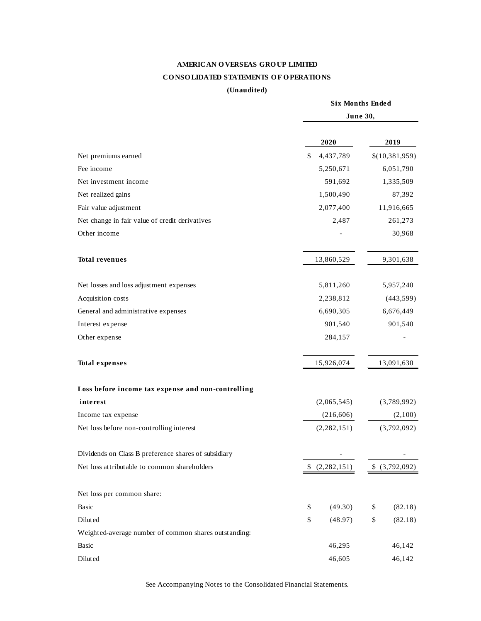# **AMERICAN O VERSEAS GRO UP LIMITED CO NSO LIDATED STATEMENTS O F O PERATIO NS**

# **(Unaudited)**

|                                                       | <b>Six Months Ended</b><br>June 30, |               |    |                  |
|-------------------------------------------------------|-------------------------------------|---------------|----|------------------|
|                                                       |                                     |               |    |                  |
|                                                       |                                     | 2020          |    | 2019             |
| Net premiums earned                                   | \$                                  | 4,437,789     |    | \$(10, 381, 959) |
| Fee income                                            |                                     | 5,250,671     |    | 6,051,790        |
| Net investment income                                 |                                     | 591,692       |    | 1,335,509        |
| Net realized gains                                    |                                     | 1,500,490     |    | 87,392           |
| Fair value adjustment                                 |                                     | 2,077,400     |    | 11,916,665       |
| Net change in fair value of credit derivatives        |                                     | 2,487         |    | 261,273          |
| Other income                                          |                                     |               |    | 30,968           |
| <b>Total revenues</b>                                 |                                     | 13,860,529    |    | 9,301,638        |
| Net losses and loss adjustment expenses               |                                     | 5,811,260     |    | 5,957,240        |
| Acquisition costs                                     |                                     | 2,238,812     |    | (443, 599)       |
| General and administrative expenses                   |                                     | 6,690,305     |    | 6,676,449        |
| Interest expense                                      |                                     | 901,540       |    | 901,540          |
| Other expense                                         |                                     | 284,157       |    |                  |
| <b>Total expenses</b>                                 |                                     | 15,926,074    |    | 13,091,630       |
| Loss before income tax expense and non-controlling    |                                     |               |    |                  |
| interest                                              |                                     | (2,065,545)   |    | (3,789,992)      |
| Income tax expense                                    |                                     | (216, 606)    |    | (2,100)          |
| Net loss before non-controlling interest              |                                     | (2, 282, 151) |    | (3,792,092)      |
| Dividends on Class B preference shares of subsidiary  |                                     |               |    |                  |
| Net loss attributable to common shareholders          |                                     | (2,282,151)   |    | \$ (3,792,092)   |
| Net loss per common share:                            |                                     |               |    |                  |
| Basic                                                 | \$                                  | (49.30)       | \$ | (82.18)          |
| Diluted                                               | \$                                  | (48.97)       | \$ | (82.18)          |
| Weighted-average number of common shares outstanding: |                                     |               |    |                  |
| Basic                                                 |                                     | 46,295        |    | 46,142           |
| Diluted                                               |                                     | 46,605        |    | 46,142           |

See Accompanying Notes to the Consolidated Financial Statements.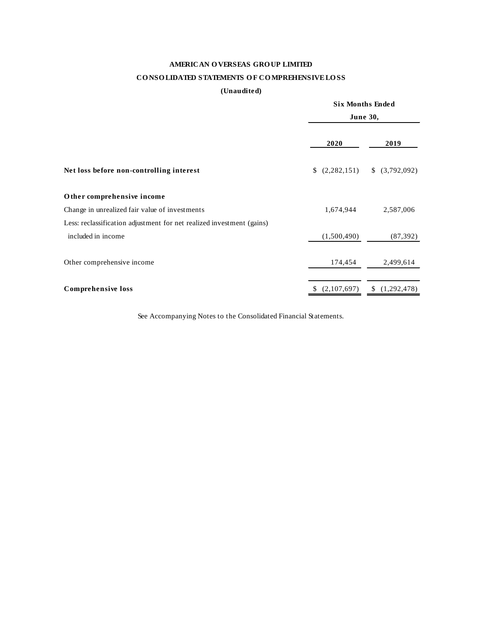# **AMERICAN O VERSEAS GRO UP LIMITED**

# **CO NSO LIDATED STATEMENTS O F CO MPREHENSIVE LO SS**

# **(Unaudited)**

|                                                                       |                   | <b>Six Months Ended</b><br><b>June 30,</b> |  |  |
|-----------------------------------------------------------------------|-------------------|--------------------------------------------|--|--|
|                                                                       | 2020              | 2019                                       |  |  |
| Net loss before non-controlling interest                              | (2,282,151)       | \$ (3,792,092)                             |  |  |
| Other comprehensive income                                            |                   |                                            |  |  |
| Change in unrealized fair value of investments                        | 1,674,944         | 2,587,006                                  |  |  |
| Less: reclassification adjustment for net realized investment (gains) |                   |                                            |  |  |
| included in income                                                    | (1,500,490)       | (87, 392)                                  |  |  |
| Other comprehensive income                                            | 174,454           | 2,499,614                                  |  |  |
| Comprehensive loss                                                    | (2,107,697)<br>S. | (1,292,478)<br>\$                          |  |  |

See Accompanying Notes to the Consolidated Financial Statements.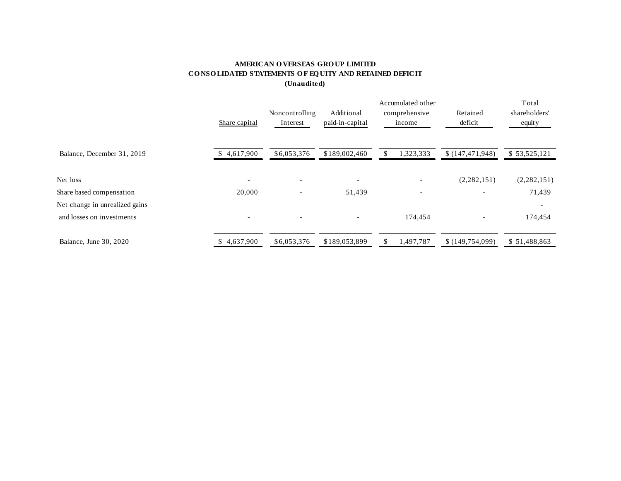# **AMERICAN O VERSEAS GRO UP LIMITED CO NSO LIDATED STATEMENTS O F EQ UITY AND RETAINED DEFICIT (Unaudited)**

|                                |               |                          |                          | Total                    |                          |               |
|--------------------------------|---------------|--------------------------|--------------------------|--------------------------|--------------------------|---------------|
|                                |               | Noncontrolling           | Additional               | comprehensive            | Retained                 | shareholders' |
|                                | Share capital | Interest                 | paid-in-capital          | income                   | deficit                  | equity        |
| Balance, December 31, 2019     | \$4,617,900   | \$6,053,376              | \$189,002,460            | 1,323,333                | \$(147, 471, 948)        | \$53,525,121  |
| Net loss                       |               | $\overline{\phantom{a}}$ | $\overline{\phantom{0}}$ | $\overline{\phantom{0}}$ | (2,282,151)              | (2,282,151)   |
| Share based compensation       | 20,000        | $\overline{\phantom{0}}$ | 51,439                   | $\overline{\phantom{a}}$ | $\overline{\phantom{a}}$ | 71,439        |
| Net change in unrealized gains |               |                          |                          |                          |                          |               |
| and losses on investments      |               | $\overline{\phantom{a}}$ |                          | 174,454                  |                          | 174,454       |
| Balance, June 30, 2020         | 4,637,900     | \$6,053,376              | \$189,053,899            | 1,497,787<br>SS.         | \$(149, 754, 099)        | \$51,488,863  |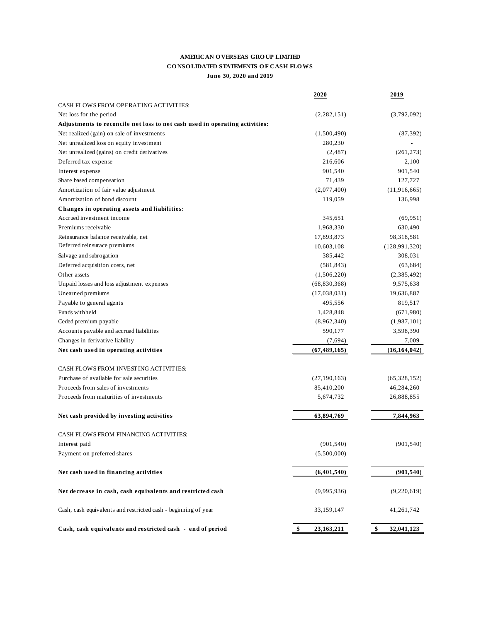## **AMERICAN O VERSEAS GRO UP LIMITED CO NSO LIDATED STATEMENTS O F CASH FLO WS June 30, 2020 and 2019**

|                                                                             | 2020             | 2019             |
|-----------------------------------------------------------------------------|------------------|------------------|
| CASH FLOWS FROM OPERATING ACTIVITIES:                                       |                  |                  |
| Net loss for the period                                                     | (2, 282, 151)    | (3,792,092)      |
| Adjustments to reconcile net loss to net cash used in operating activities: |                  |                  |
| Net realized (gain) on sale of investments                                  | (1,500,490)      | (87, 392)        |
| Net unrealized loss on equity investment                                    | 280,230          |                  |
| Net unrealized (gains) on credit derivatives                                | (2, 487)         | (261, 273)       |
| Deferred tax expense                                                        | 216,606          | 2,100            |
| Interest expense                                                            | 901,540          | 901,540          |
| Share based compensation                                                    | 71,439           | 127,727          |
| Amortization of fair value adjustment                                       | (2,077,400)      | (11, 916, 665)   |
| Amortization of bond discount                                               | 119,059          | 136,998          |
| Changes in operating assets and liabilities:                                |                  |                  |
| Accrued investment income                                                   | 345,651          | (69, 951)        |
| Premiums receivable                                                         | 1,968,330        | 630,490          |
| Reinsurance balance receivable, net                                         | 17,893,873       | 98,318,581       |
| Deferred reinsurace premiums                                                | 10,603,108       | (128, 991, 320)  |
| Salvage and subrogation                                                     | 385,442          | 308,031          |
| Deferred acquisition costs, net                                             | (581, 843)       | (63, 684)        |
| Other assets                                                                | (1,506,220)      | (2,385,492)      |
| Unpaid losses and loss adjustment expenses                                  | (68, 830, 368)   | 9,575,638        |
| Unearned premiums                                                           | (17,038,031)     | 19,636,887       |
| Payable to general agents                                                   | 495,556          | 819,517          |
| Funds withheld                                                              | 1,428,848        | (671,980)        |
| Ceded premium payable                                                       | (8,962,340)      | (1,987,101)      |
| Accounts payable and accrued liabilities                                    | 590,177          | 3,598,390        |
| Changes in derivative liability                                             | (7,694)          | 7,009            |
| Net cash used in operating activities                                       | (67, 489, 165)   | (16, 164, 042)   |
|                                                                             |                  |                  |
| CASH FLOWS FROM INVESTING ACTIVITIES:                                       |                  |                  |
| Purchase of available for sale securities                                   | (27, 190, 163)   | (65,328,152)     |
| Proceeds from sales of investments                                          | 85,410,200       | 46,284,260       |
| Proceeds from maturities of investments                                     | 5,674,732        | 26,888,855       |
| Net cash provided by investing activities                                   | 63,894,769       | 7,844,963        |
| CASH FLOWS FROM FINANCING ACTIVITIES:                                       |                  |                  |
| Interest paid                                                               | (901, 540)       | (901, 540)       |
| Payment on preferred shares                                                 | (5,500,000)      |                  |
| Net cash used in financing activities                                       | (6,401,540)      | (901, 540)       |
| Net decrease in cash, cash equivalents and restricted cash                  | (9,995,936)      | (9,220,619)      |
| Cash, cash equivalents and restricted cash - beginning of year              | 33,159,147       | 41,261,742       |
| Cash, cash equivalents and restricted cash - end of period                  | \$<br>23,163,211 | \$<br>32,041,123 |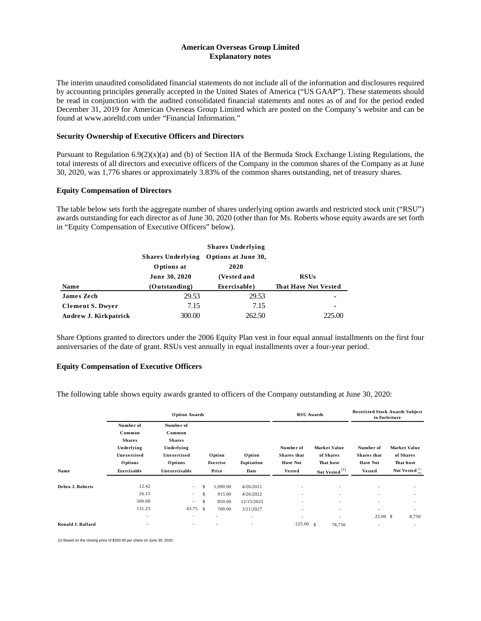#### **American Overseas Group Limited Explanatory notes**

The interim unaudited consolidated financial statements do not include all of the information and disclosures required by accounting principles generally accepted in the United States of America ("US GAAP"). These statements should be read in conjunction with the audited consolidated financial statements and notes as of and for the period ended December 31, 2019 for American Overseas Group Limited which are posted on the Company's website and can be found at www.aoreltd.com under "Financial Information."

#### **Security Ownership of Executive Officers and Directors**

Pursuant to Regulation  $6.9(2)(x)(a)$  and (b) of Section IIA of the Bermuda Stock Exchange Listing Regulations, the total interests of all directors and executive officers of the Company in the common shares of the Company as at June 30, 2020, was 1,776 shares or approximately 3.83% of the common shares outstanding, net of treasury shares.

#### **Equity Compensation of Directors**

The table below sets forth the aggregate number of shares underlying option awards and restricted stock unit ("RSU") awards outstanding for each director as of June 30, 2020 (other than for Ms. Roberts whose equity awards are set forth in "Equity Compensation of Executive Officers" below).

|                         |               | Shares Underlying Options at June 30, |                      |
|-------------------------|---------------|---------------------------------------|----------------------|
|                         | Options at    | 2020                                  |                      |
|                         | June 30, 2020 | (Vested and                           | <b>RSUs</b>          |
| <b>Name</b>             | (Outstanding) | Exercisable)                          | That Have Not Vested |
| <b>James Zech</b>       | 29.53         | 29.53                                 |                      |
| <b>Clement S. Dwyer</b> | 7.15          | 7.15                                  |                      |
| Andrew J. Kirkpatrick   | 300.00        | 262.50                                | 225.00               |

Share Options granted to directors under the 2006 Equity Plan vest in four equal annual installments on the first four anniversaries of the date of grant. RSUs vest annually in equal installments over a four-year period.

#### **Equity Compensation of Executive Officers**

The following table shows equity awards granted to officers of the Company outstanding at June 30, 2020:

|                   | <b>Option Awards</b>                                                                |                                                                                     |               |                                        |                                                                               | <b>RSU</b> Awards                                  |  |                                               | <b>Restricted Stock Awards Subject</b><br>to Forfeiture      |                                        |
|-------------------|-------------------------------------------------------------------------------------|-------------------------------------------------------------------------------------|---------------|----------------------------------------|-------------------------------------------------------------------------------|----------------------------------------------------|--|-----------------------------------------------|--------------------------------------------------------------|----------------------------------------|
|                   | Number of<br>Common<br><b>Shares</b><br>Underlying<br>Unexercised<br><b>Options</b> | Number of<br>Common<br><b>Shares</b><br>Underlying<br>Unexercised<br><b>Options</b> |               | <b>O</b> ption<br>Exercise             | Option<br>Expiration                                                          | Number of<br><b>Shares</b> that<br><b>Have Not</b> |  | <b>Market Value</b><br>of Shares<br>That have | Number of<br><b>Shares</b> that<br><b>Have Not</b>           | Market Value<br>of Shares<br>That have |
| Name              | Exercisable                                                                         | Unexercisable                                                                       |               | Price                                  | Date                                                                          | <b>Vested</b>                                      |  | Not Vested (1)                                | Vested                                                       | Not Vested <sup>(1)</sup>              |
| Debra J. Roberts  | 12.42<br>26.15<br>500.00<br>131.25<br>$\sim$                                        | $\sim$<br>$\sim$<br>$\sim$<br>43.75 \$<br>-                                         | \$.<br>S<br>S | 1,090.00<br>915.00<br>850.00<br>700.00 | 4/26/2021<br>4/26/2022<br>12/15/2025<br>3/21/2027<br>$\overline{\phantom{a}}$ | $\overline{\phantom{a}}$<br>$\sim$<br>-            |  | ٠<br>÷,<br>٠<br>$\overline{\phantom{a}}$<br>٠ | $\sim$<br>÷<br>$\sim$<br>$\overline{\phantom{a}}$<br>25.00 S | ٠<br>$\overline{\phantom{a}}$<br>8,750 |
| Ronald J. Ballard | $\sim$                                                                              | $\overline{\phantom{a}}$                                                            |               | $\overline{\phantom{a}}$               | $\overline{\phantom{a}}$                                                      | $225.00 \text{ s}$                                 |  | 78,750                                        | $\sim$                                                       | $\overline{\phantom{a}}$               |

(1) Based on the closing price of \$350.00 per share on June 30, 2020.